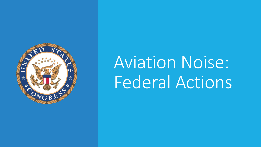

# Aviation Noise: Federal Actions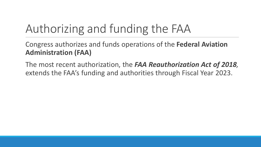# Authorizing and funding the FAA

Congress authorizes and funds operations of the **Federal Aviation Administration (FAA)**

The most recent authorization, the *FAA Reauthorization Act of 2018,*  extends the FAA's funding and authorities through Fiscal Year 2023.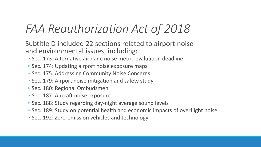### *FAA Reauthorization Act of 2018*

Subtitle D included 22 sections related to airport noise and environmental issues, including:

- Sec. 173: Alternative airplane noise metric evaluation deadline
- Sec. 174: Updating airport noise exposure maps
- Sec. 175: Addressing Community Noise Concerns
- Sec. 179: Airport noise mitigation and safety study
- Sec. 180: Regional Ombudsmen
- Sec. 187: Aircraft noise exposure
- Sec. 188: Study regarding day-night average sound levels
- Sec. 189: Study on potential health and economic impacts of overflight noise
- Sec. 192: Zero-emission vehicles and technology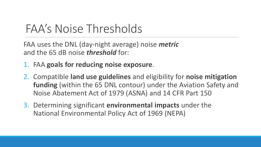#### FAA's Noise Thresholds

FAA uses the DNL (day-night average) noise *metric* and the 65 dB noise *threshold* for:

- 1. FAA **goals for reducing noise exposure**.
- 2. Compatible **land use guidelines** and eligibility for **noise mitigation funding** (within the 65 DNL contour) under the Aviation Safety and Noise Abatement Act of 1979 (ASNA) and 14 CFR Part 150
- 3. Determining significant **environmental impacts** under the National Environmental Policy Act of 1969 (NEPA)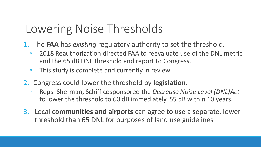## Lowering Noise Thresholds

- 1. The **FAA** has *existing* regulatory authority to set the threshold.
	- 2018 Reauthorization directed FAA to reevaluate use of the DNL metric and the 65 dB DNL threshold and report to Congress.
	- This study is complete and currently in review.
- 2. Congress could lower the threshold by **legislation.**
	- Reps. Sherman, Schiff cosponsored the *Decrease Noise Level (DNL)Act*  to lower the threshold to 60 dB immediately, 55 dB within 10 years.
- 3. Local **communities and airports** can agree to use a separate, lower threshold than 65 DNL for purposes of land use guidelines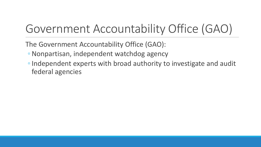# Government Accountability Office (GAO)

The Government Accountability Office (GAO):

- ◦Nonpartisan, independent watchdog agency
- ◦Independent experts with broad authority to investigate and audit federal agencies